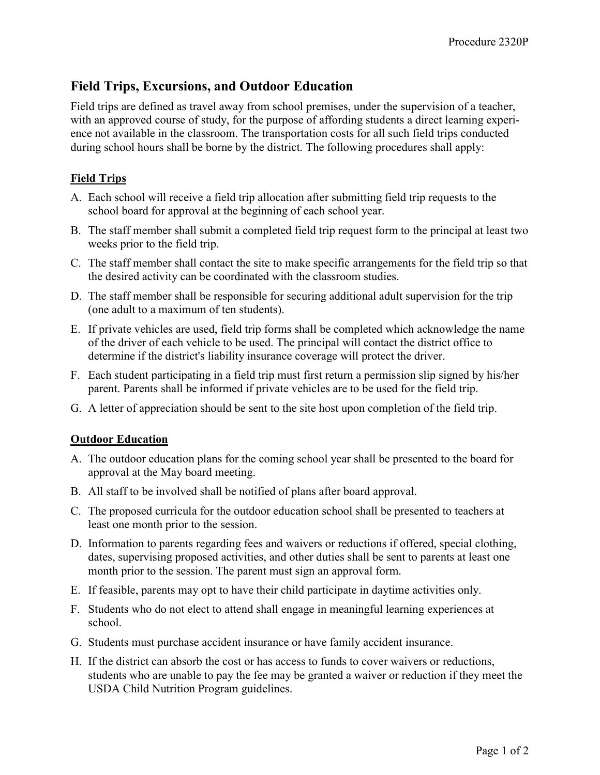# Field Trips, Excursions, and Outdoor Education

Field trips are defined as travel away from school premises, under the supervision of a teacher, with an approved course of study, for the purpose of affording students a direct learning experience not available in the classroom. The transportation costs for all such field trips conducted during school hours shall be borne by the district. The following procedures shall apply:

## Field Trips

- A. Each school will receive a field trip allocation after submitting field trip requests to the school board for approval at the beginning of each school year.
- B. The staff member shall submit a completed field trip request form to the principal at least two weeks prior to the field trip.
- C. The staff member shall contact the site to make specific arrangements for the field trip so that the desired activity can be coordinated with the classroom studies.
- D. The staff member shall be responsible for securing additional adult supervision for the trip (one adult to a maximum of ten students).
- E. If private vehicles are used, field trip forms shall be completed which acknowledge the name of the driver of each vehicle to be used. The principal will contact the district office to determine if the district's liability insurance coverage will protect the driver.
- F. Each student participating in a field trip must first return a permission slip signed by his/her parent. Parents shall be informed if private vehicles are to be used for the field trip.
- G. A letter of appreciation should be sent to the site host upon completion of the field trip.

### **Outdoor Education**

- A. The outdoor education plans for the coming school year shall be presented to the board for approval at the May board meeting.
- B. All staff to be involved shall be notified of plans after board approval.
- C. The proposed curricula for the outdoor education school shall be presented to teachers at least one month prior to the session.
- D. Information to parents regarding fees and waivers or reductions if offered, special clothing, dates, supervising proposed activities, and other duties shall be sent to parents at least one month prior to the session. The parent must sign an approval form.
- E. If feasible, parents may opt to have their child participate in daytime activities only.
- F. Students who do not elect to attend shall engage in meaningful learning experiences at school.
- G. Students must purchase accident insurance or have family accident insurance.
- H. If the district can absorb the cost or has access to funds to cover waivers or reductions, students who are unable to pay the fee may be granted a waiver or reduction if they meet the USDA Child Nutrition Program guidelines.